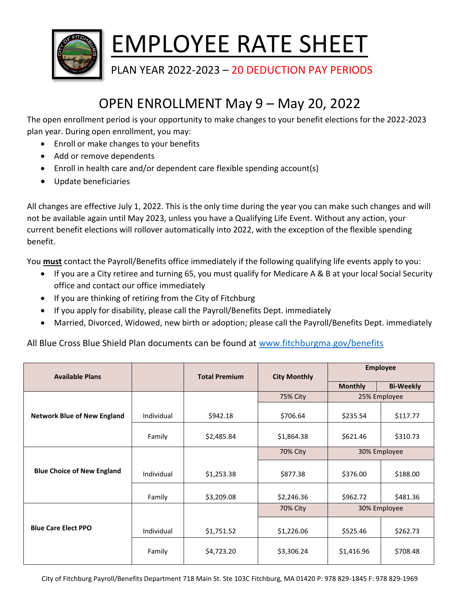

## EMPLOYEE RATE SHEET

PLAN YEAR 2022-2023 - 20 DEDUCTION PAY PERIODS

## OPEN ENROLLMENT May 9 – May 20, 2022

The open enrollment period is your opportunity to make changes to your benefit elections for the 2022-2023 plan year. During open enrollment, you may:

- Enroll or make changes to your benefits
- Add or remove dependents
- Enroll in health care and/or dependent care flexible spending account(s)
- Update beneficiaries

All changes are effective July 1, 2022. This is the only time during the year you can make such changes and will not be available again until May 2023, unless you have a Qualifying Life Event. Without any action, your current benefit elections will rollover automatically into 2022, with the exception of the flexible spending benefit.

You **must** contact the Payroll/Benefits office immediately if the following qualifying life events apply to you:

- If you are a City retiree and turning 65, you must qualify for Medicare A & B at your local Social Security office and contact our office immediately
- If you are thinking of retiring from the City of Fitchburg
- If you apply for disability, please call the Payroll/Benefits Dept. immediately
- Married, Divorced, Widowed, new birth or adoption; please call the Payroll/Benefits Dept. immediately

All Blue Cross Blue Shield Plan documents can be found at [www.fitchburgma.gov/benefits](http://www.fitchburgma.gov/benefits)

| <b>Available Plans</b>             |            | <b>Total Premium</b> | <b>City Monthly</b> | <b>Employee</b> |                  |
|------------------------------------|------------|----------------------|---------------------|-----------------|------------------|
|                                    |            |                      |                     | <b>Monthly</b>  | <b>Bi-Weekly</b> |
|                                    |            |                      | 75% City            | 25% Employee    |                  |
| <b>Network Blue of New England</b> | Individual | \$942.18             | \$706.64            | \$235.54        | \$117.77         |
|                                    | Family     | \$2,485.84           | \$1,864.38          | \$621.46        | \$310.73         |
|                                    |            |                      | <b>70% City</b>     | 30% Employee    |                  |
| <b>Blue Choice of New England</b>  | Individual | \$1,253.38           | \$877.38            | \$376.00        | \$188.00         |
|                                    | Family     | \$3,209.08           | \$2,246.36          | \$962.72        | \$481.36         |
|                                    |            |                      | 70% City            | 30% Employee    |                  |
| <b>Blue Care Elect PPO</b>         | Individual | \$1,751.52           | \$1,226.06          | \$525.46        | \$262.73         |
|                                    | Family     | \$4,723.20           | \$3,306.24          | \$1,416.96      | \$708.48         |